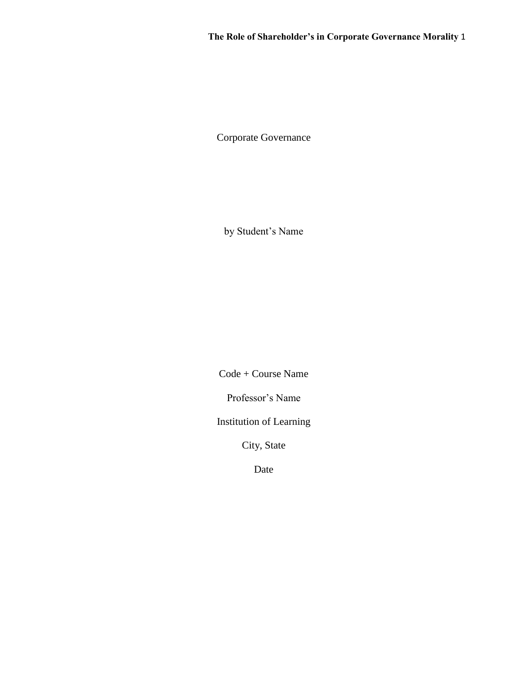Corporate Governance

by Student's Name

Code + Course Name

Professor's Name

Institution of Learning

City, State

Date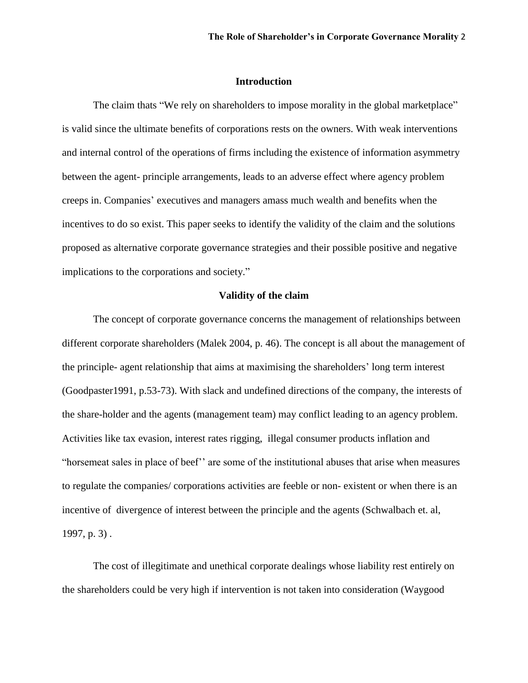## **Introduction**

The claim thats "We rely on shareholders to impose morality in the global marketplace" is valid since the ultimate benefits of corporations rests on the owners. With weak interventions and internal control of the operations of firms including the existence of information asymmetry between the agent- principle arrangements, leads to an adverse effect where agency problem creeps in. Companies' executives and managers amass much wealth and benefits when the incentives to do so exist. This paper seeks to identify the validity of the claim and the solutions proposed as alternative corporate governance strategies and their possible positive and negative implications to the corporations and society."

### **Validity of the claim**

The concept of corporate governance concerns the management of relationships between different corporate shareholders (Malek 2004, p. 46). The concept is all about the management of the principle- agent relationship that aims at maximising the shareholders' long term interest (Goodpaster1991, p.53-73). With slack and undefined directions of the company, the interests of the share-holder and the agents (management team) may conflict leading to an agency problem. Activities like tax evasion, interest rates rigging, illegal consumer products inflation and "horsemeat sales in place of beef'' are some of the institutional abuses that arise when measures to regulate the companies/ corporations activities are feeble or non- existent or when there is an incentive of divergence of interest between the principle and the agents (Schwalbach et. al, 1997, p. 3) .

The cost of illegitimate and unethical corporate dealings whose liability rest entirely on the shareholders could be very high if intervention is not taken into consideration (Waygood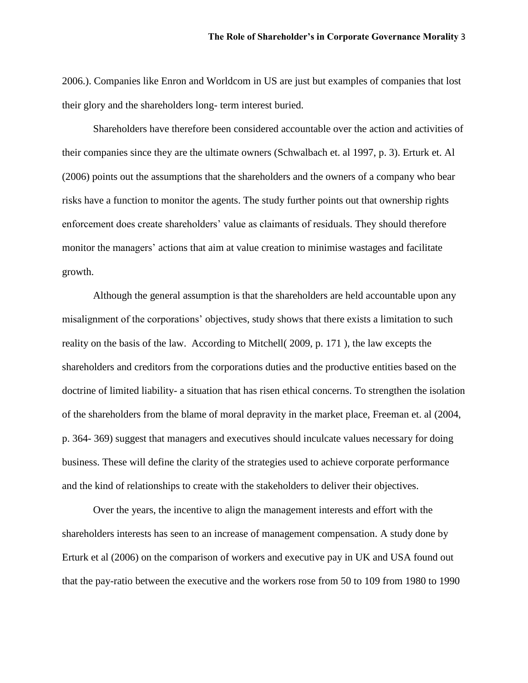2006.). Companies like Enron and Worldcom in US are just but examples of companies that lost their glory and the shareholders long- term interest buried.

Shareholders have therefore been considered accountable over the action and activities of their companies since they are the ultimate owners (Schwalbach et. al 1997, p. 3). Erturk et. Al (2006) points out the assumptions that the shareholders and the owners of a company who bear risks have a function to monitor the agents. The study further points out that ownership rights enforcement does create shareholders' value as claimants of residuals. They should therefore monitor the managers' actions that aim at value creation to minimise wastages and facilitate growth.

Although the general assumption is that the shareholders are held accountable upon any misalignment of the corporations' objectives, study shows that there exists a limitation to such reality on the basis of the law. According to Mitchell( 2009, p. 171 ), the law excepts the shareholders and creditors from the corporations duties and the productive entities based on the doctrine of limited liability- a situation that has risen ethical concerns. To strengthen the isolation of the shareholders from the blame of moral depravity in the market place, Freeman et. al (2004, p. 364- 369) suggest that managers and executives should inculcate values necessary for doing business. These will define the clarity of the strategies used to achieve corporate performance and the kind of relationships to create with the stakeholders to deliver their objectives.

Over the years, the incentive to align the management interests and effort with the shareholders interests has seen to an increase of management compensation. A study done by Erturk et al (2006) on the comparison of workers and executive pay in UK and USA found out that the pay-ratio between the executive and the workers rose from 50 to 109 from 1980 to 1990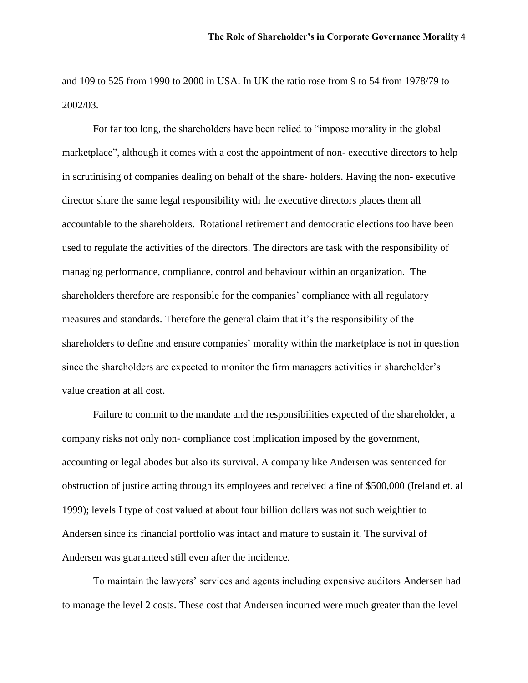and 109 to 525 from 1990 to 2000 in USA. In UK the ratio rose from 9 to 54 from 1978/79 to 2002/03.

For far too long, the shareholders have been relied to "impose morality in the global marketplace", although it comes with a cost the appointment of non- executive directors to help in scrutinising of companies dealing on behalf of the share- holders. Having the non- executive director share the same legal responsibility with the executive directors places them all accountable to the shareholders. Rotational retirement and democratic elections too have been used to regulate the activities of the directors. The directors are task with the responsibility of managing performance, compliance, control and behaviour within an organization. The shareholders therefore are responsible for the companies' compliance with all regulatory measures and standards. Therefore the general claim that it's the responsibility of the shareholders to define and ensure companies' morality within the marketplace is not in question since the shareholders are expected to monitor the firm managers activities in shareholder's value creation at all cost.

Failure to commit to the mandate and the responsibilities expected of the shareholder, a company risks not only non- compliance cost implication imposed by the government, accounting or legal abodes but also its survival. A company like Andersen was sentenced for obstruction of justice acting through its employees and received a fine of \$500,000 (Ireland et. al 1999); levels I type of cost valued at about four billion dollars was not such weightier to Andersen since its financial portfolio was intact and mature to sustain it. The survival of Andersen was guaranteed still even after the incidence.

To maintain the lawyers' services and agents including expensive auditors Andersen had to manage the level 2 costs. These cost that Andersen incurred were much greater than the level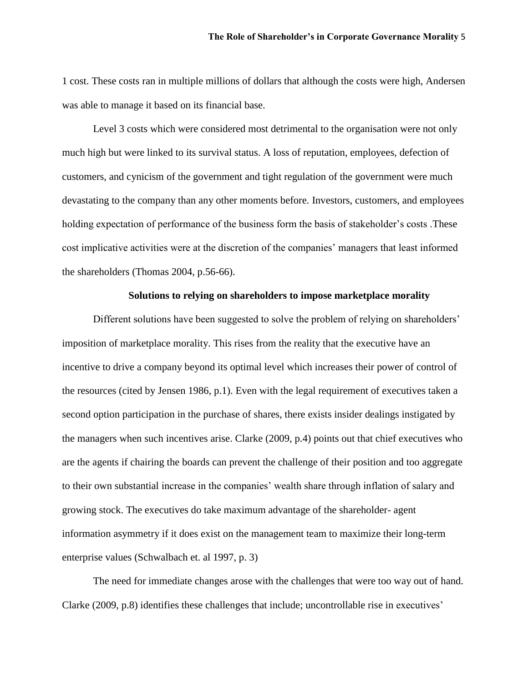1 cost. These costs ran in multiple millions of dollars that although the costs were high, Andersen was able to manage it based on its financial base.

Level 3 costs which were considered most detrimental to the organisation were not only much high but were linked to its survival status. A loss of reputation, employees, defection of customers, and cynicism of the government and tight regulation of the government were much devastating to the company than any other moments before. Investors, customers, and employees holding expectation of performance of the business form the basis of stakeholder's costs .These cost implicative activities were at the discretion of the companies' managers that least informed the shareholders (Thomas 2004, p.56-66).

## **Solutions to relying on shareholders to impose marketplace morality**

Different solutions have been suggested to solve the problem of relying on shareholders' imposition of marketplace morality. This rises from the reality that the executive have an incentive to drive a company beyond its optimal level which increases their power of control of the resources (cited by Jensen 1986, p.1). Even with the legal requirement of executives taken a second option participation in the purchase of shares, there exists insider dealings instigated by the managers when such incentives arise. Clarke (2009, p.4) points out that chief executives who are the agents if chairing the boards can prevent the challenge of their position and too aggregate to their own substantial increase in the companies' wealth share through inflation of salary and growing stock. The executives do take maximum advantage of the shareholder- agent information asymmetry if it does exist on the management team to maximize their long-term enterprise values (Schwalbach et. al 1997, p. 3)

The need for immediate changes arose with the challenges that were too way out of hand. Clarke (2009, p.8) identifies these challenges that include; uncontrollable rise in executives'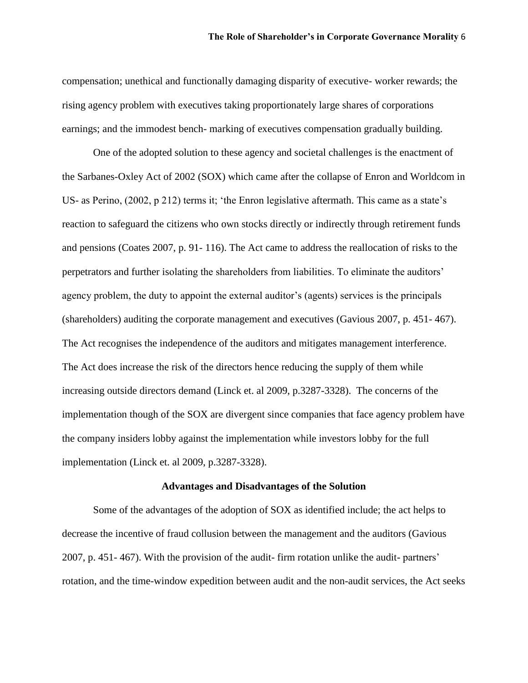compensation; unethical and functionally damaging disparity of executive- worker rewards; the rising agency problem with executives taking proportionately large shares of corporations earnings; and the immodest bench- marking of executives compensation gradually building.

One of the adopted solution to these agency and societal challenges is the enactment of the Sarbanes-Oxley Act of 2002 (SOX) which came after the collapse of Enron and Worldcom in US- as Perino, (2002, p 212) terms it; 'the Enron legislative aftermath. This came as a state's reaction to safeguard the citizens who own stocks directly or indirectly through retirement funds and pensions (Coates 2007, p. 91- 116). The Act came to address the reallocation of risks to the perpetrators and further isolating the shareholders from liabilities. To eliminate the auditors' agency problem, the duty to appoint the external auditor's (agents) services is the principals (shareholders) auditing the corporate management and executives (Gavious 2007, p. 451- 467). The Act recognises the independence of the auditors and mitigates management interference. The Act does increase the risk of the directors hence reducing the supply of them while increasing outside directors demand (Linck et. al 2009, p.3287-3328). The concerns of the implementation though of the SOX are divergent since companies that face agency problem have the company insiders lobby against the implementation while investors lobby for the full implementation (Linck et. al 2009, p.3287-3328).

### **Advantages and Disadvantages of the Solution**

Some of the advantages of the adoption of SOX as identified include; the act helps to decrease the incentive of fraud collusion between the management and the auditors (Gavious 2007, p. 451- 467). With the provision of the audit- firm rotation unlike the audit- partners' rotation, and the time-window expedition between audit and the non-audit services, the Act seeks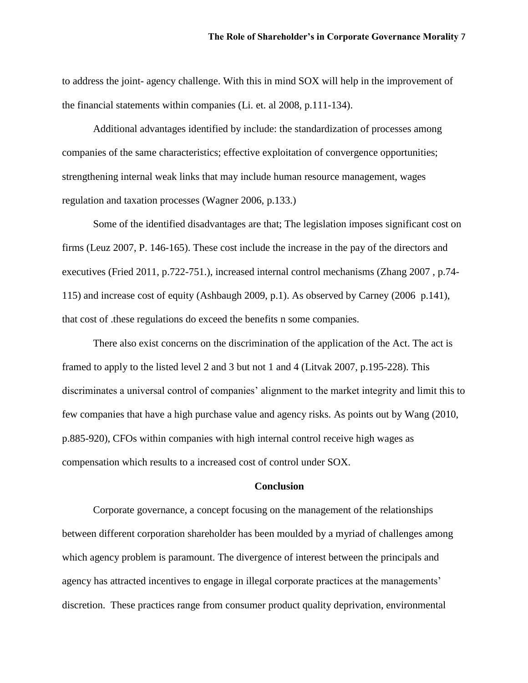to address the joint- agency challenge. With this in mind SOX will help in the improvement of the financial statements within companies (Li. et. al 2008, p.111-134).

Additional advantages identified by include: the standardization of processes among companies of the same characteristics; effective exploitation of convergence opportunities; strengthening internal weak links that may include human resource management, wages regulation and taxation processes (Wagner 2006, p.133.)

Some of the identified disadvantages are that; The legislation imposes significant cost on firms (Leuz 2007, P. 146-165). These cost include the increase in the pay of the directors and executives (Fried 2011, p.722-751.), increased internal control mechanisms (Zhang 2007 , p.74- 115) and increase cost of equity (Ashbaugh 2009, p.1). As observed by Carney (2006 p.141), that cost of .these regulations do exceed the benefits n some companies.

There also exist concerns on the discrimination of the application of the Act. The act is framed to apply to the listed level 2 and 3 but not 1 and 4 (Litvak 2007, p.195-228). This discriminates a universal control of companies' alignment to the market integrity and limit this to few companies that have a high purchase value and agency risks. As points out by Wang (2010, p.885-920), CFOs within companies with high internal control receive high wages as compensation which results to a increased cost of control under SOX.

# **Conclusion**

Corporate governance, a concept focusing on the management of the relationships between different corporation shareholder has been moulded by a myriad of challenges among which agency problem is paramount. The divergence of interest between the principals and agency has attracted incentives to engage in illegal corporate practices at the managements' discretion. These practices range from consumer product quality deprivation, environmental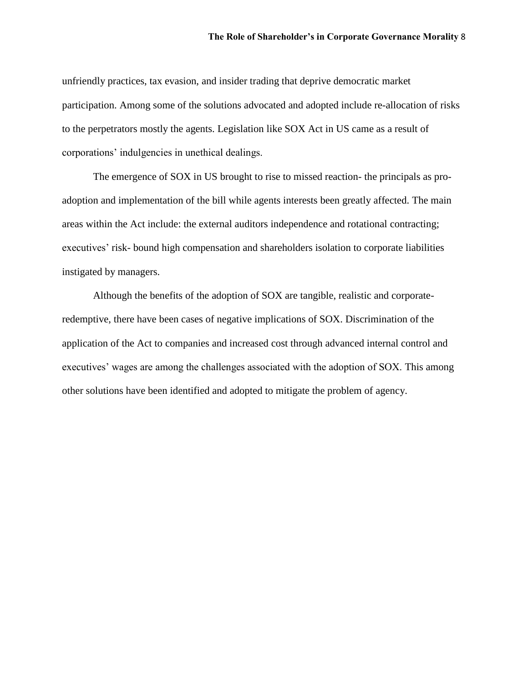unfriendly practices, tax evasion, and insider trading that deprive democratic market participation. Among some of the solutions advocated and adopted include re-allocation of risks to the perpetrators mostly the agents. Legislation like SOX Act in US came as a result of corporations' indulgencies in unethical dealings.

The emergence of SOX in US brought to rise to missed reaction- the principals as proadoption and implementation of the bill while agents interests been greatly affected. The main areas within the Act include: the external auditors independence and rotational contracting; executives' risk- bound high compensation and shareholders isolation to corporate liabilities instigated by managers.

Although the benefits of the adoption of SOX are tangible, realistic and corporateredemptive, there have been cases of negative implications of SOX. Discrimination of the application of the Act to companies and increased cost through advanced internal control and executives' wages are among the challenges associated with the adoption of SOX. This among other solutions have been identified and adopted to mitigate the problem of agency.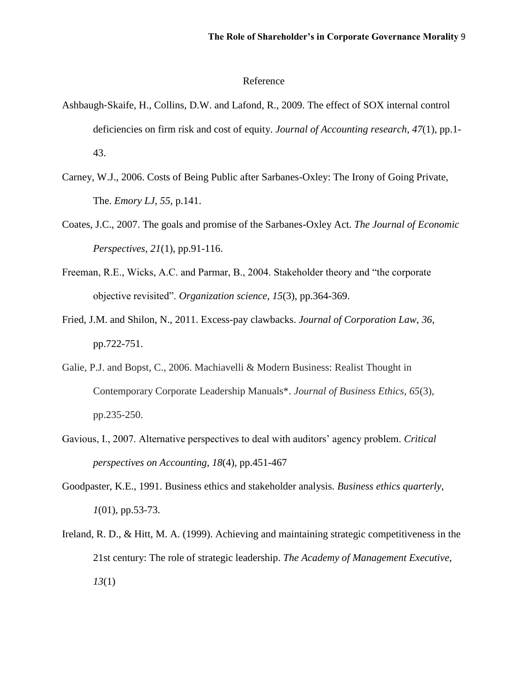#### Reference

- Ashbaugh‐Skaife, H., Collins, D.W. and Lafond, R., 2009. The effect of SOX internal control deficiencies on firm risk and cost of equity. *Journal of Accounting research*, *47*(1), pp.1- 43.
- Carney, W.J., 2006. Costs of Being Public after Sarbanes-Oxley: The Irony of Going Private, The. *Emory LJ*, *55*, p.141.
- Coates, J.C., 2007. The goals and promise of the Sarbanes-Oxley Act. *The Journal of Economic Perspectives*, *21*(1), pp.91-116.
- Freeman, R.E., Wicks, A.C. and Parmar, B., 2004. Stakeholder theory and "the corporate objective revisited". *Organization science*, *15*(3), pp.364-369.
- Fried, J.M. and Shilon, N., 2011. Excess-pay clawbacks. *Journal of Corporation Law*, *36*, pp.722-751.
- Galie, P.J. and Bopst, C., 2006. Machiavelli & Modern Business: Realist Thought in Contemporary Corporate Leadership Manuals\*. *Journal of Business Ethics*, *65*(3), pp.235-250.
- Gavious, I., 2007. Alternative perspectives to deal with auditors' agency problem. *Critical perspectives on Accounting*, *18*(4), pp.451-467
- Goodpaster, K.E., 1991. Business ethics and stakeholder analysis. *Business ethics quarterly*, *1*(01), pp.53-73.
- Ireland, R. D., & Hitt, M. A. (1999). Achieving and maintaining strategic competitiveness in the 21st century: The role of strategic leadership. *The Academy of Management Executive*, *13*(1)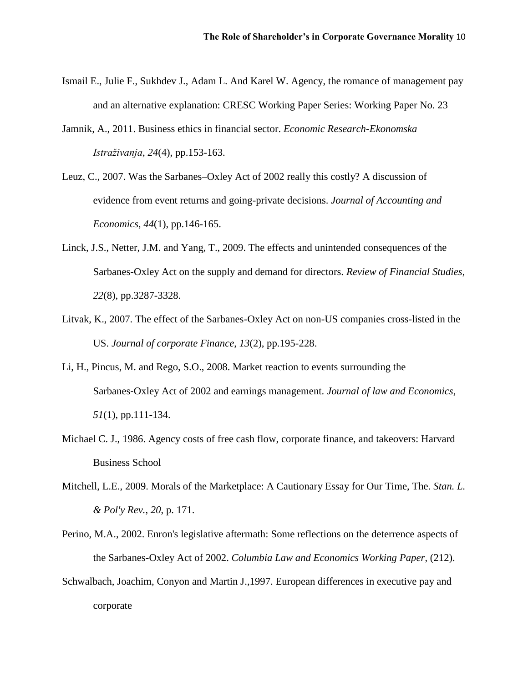- Ismail E., Julie F., Sukhdev J., Adam L. And Karel W. Agency, the romance of management pay and an alternative explanation: CRESC Working Paper Series: Working Paper No. 23
- Jamnik, A., 2011. Business ethics in financial sector. *Economic Research-Ekonomska Istraživanja*, *24*(4), pp.153-163.
- Leuz, C., 2007. Was the Sarbanes–Oxley Act of 2002 really this costly? A discussion of evidence from event returns and going-private decisions. *Journal of Accounting and Economics*, *44*(1), pp.146-165.
- Linck, J.S., Netter, J.M. and Yang, T., 2009. The effects and unintended consequences of the Sarbanes-Oxley Act on the supply and demand for directors. *Review of Financial Studies*, *22*(8), pp.3287-3328.
- Litvak, K., 2007. The effect of the Sarbanes-Oxley Act on non-US companies cross-listed in the US. *Journal of corporate Finance*, *13*(2), pp.195-228.
- Li, H., Pincus, M. and Rego, S.O., 2008. Market reaction to events surrounding the Sarbanes‐Oxley Act of 2002 and earnings management. *Journal of law and Economics*, *51*(1), pp.111-134.
- Michael C. J., 1986. Agency costs of free cash flow, corporate finance, and takeovers: Harvard Business School
- Mitchell, L.E., 2009. Morals of the Marketplace: A Cautionary Essay for Our Time, The. *Stan. L. & Pol'y Rev.*, *20*, p. 171.
- Perino, M.A., 2002. Enron's legislative aftermath: Some reflections on the deterrence aspects of the Sarbanes-Oxley Act of 2002. *Columbia Law and Economics Working Paper*, (212).
- Schwalbach, Joachim, Conyon and Martin J.,1997. European differences in executive pay and corporate